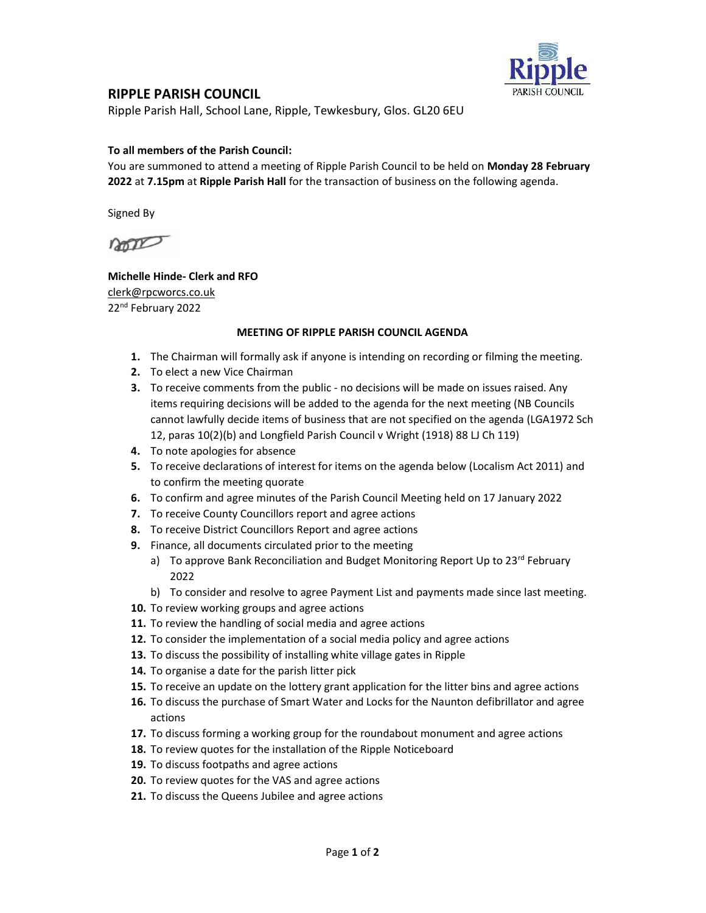

## RIPPLE PARISH COUNCIL

Ripple Parish Hall, School Lane, Ripple, Tewkesbury, Glos. GL20 6EU

### To all members of the Parish Council:

You are summoned to attend a meeting of Ripple Parish Council to be held on Monday 28 February 2022 at 7.15pm at Ripple Parish Hall for the transaction of business on the following agenda.

Signed By

non

### Michelle Hinde- Clerk and RFO clerk@rpcworcs.co.uk 22nd February 2022

#### MEETING OF RIPPLE PARISH COUNCIL AGENDA

- 1. The Chairman will formally ask if anyone is intending on recording or filming the meeting.
- 2. To elect a new Vice Chairman
- 3. To receive comments from the public no decisions will be made on issues raised. Any items requiring decisions will be added to the agenda for the next meeting (NB Councils cannot lawfully decide items of business that are not specified on the agenda (LGA1972 Sch 12, paras 10(2)(b) and Longfield Parish Council v Wright (1918) 88 LJ Ch 119)
- 4. To note apologies for absence
- 5. To receive declarations of interest for items on the agenda below (Localism Act 2011) and to confirm the meeting quorate
- 6. To confirm and agree minutes of the Parish Council Meeting held on 17 January 2022
- 7. To receive County Councillors report and agree actions
- 8. To receive District Councillors Report and agree actions
- 9. Finance, all documents circulated prior to the meeting
	- a) To approve Bank Reconciliation and Budget Monitoring Report Up to 23<sup>rd</sup> February 2022
	- b) To consider and resolve to agree Payment List and payments made since last meeting.
- 10. To review working groups and agree actions
- 11. To review the handling of social media and agree actions
- 12. To consider the implementation of a social media policy and agree actions
- 13. To discuss the possibility of installing white village gates in Ripple
- 14. To organise a date for the parish litter pick
- 15. To receive an update on the lottery grant application for the litter bins and agree actions
- 16. To discuss the purchase of Smart Water and Locks for the Naunton defibrillator and agree actions
- 17. To discuss forming a working group for the roundabout monument and agree actions
- 18. To review quotes for the installation of the Ripple Noticeboard
- 19. To discuss footpaths and agree actions
- 20. To review quotes for the VAS and agree actions
- 21. To discuss the Queens Jubilee and agree actions